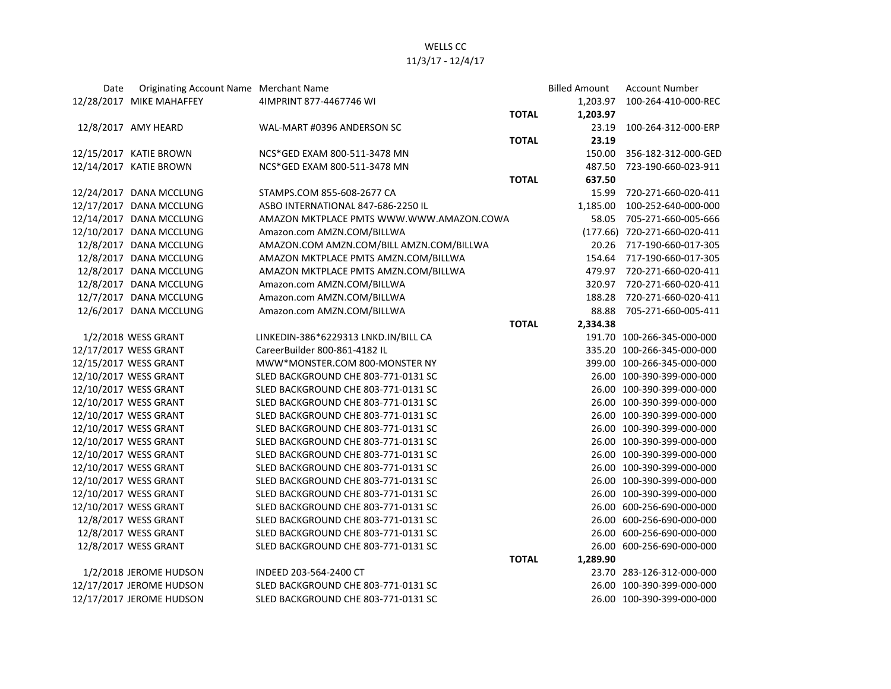## WELLS CC 11/3/17 - 12/4/17

| Date | Originating Account Name Merchant Name |                                          |              | <b>Billed Amount</b> | <b>Account Number</b>        |
|------|----------------------------------------|------------------------------------------|--------------|----------------------|------------------------------|
|      | 12/28/2017 MIKE MAHAFFEY               | 4IMPRINT 877-4467746 WI                  |              | 1,203.97             | 100-264-410-000-REC          |
|      |                                        |                                          | <b>TOTAL</b> | 1,203.97             |                              |
|      | 12/8/2017 AMY HEARD                    | WAL-MART #0396 ANDERSON SC               |              | 23.19                | 100-264-312-000-ERP          |
|      |                                        |                                          | <b>TOTAL</b> | 23.19                |                              |
|      | 12/15/2017 KATIE BROWN                 | NCS*GED EXAM 800-511-3478 MN             |              | 150.00               | 356-182-312-000-GED          |
|      | 12/14/2017 KATIE BROWN                 | NCS*GED EXAM 800-511-3478 MN             |              | 487.50               | 723-190-660-023-911          |
|      |                                        |                                          | <b>TOTAL</b> | 637.50               |                              |
|      | 12/24/2017 DANA MCCLUNG                | STAMPS.COM 855-608-2677 CA               |              | 15.99                | 720-271-660-020-411          |
|      | 12/17/2017 DANA MCCLUNG                | ASBO INTERNATIONAL 847-686-2250 IL       |              | 1,185.00             | 100-252-640-000-000          |
|      | 12/14/2017 DANA MCCLUNG                | AMAZON MKTPLACE PMTS WWW.WWW.AMAZON.COWA |              | 58.05                | 705-271-660-005-666          |
|      | 12/10/2017 DANA MCCLUNG                | Amazon.com AMZN.COM/BILLWA               |              |                      | (177.66) 720-271-660-020-411 |
|      | 12/8/2017 DANA MCCLUNG                 | AMAZON.COM AMZN.COM/BILL AMZN.COM/BILLWA |              |                      | 20.26 717-190-660-017-305    |
|      | 12/8/2017 DANA MCCLUNG                 | AMAZON MKTPLACE PMTS AMZN.COM/BILLWA     |              |                      | 154.64 717-190-660-017-305   |
|      | 12/8/2017 DANA MCCLUNG                 | AMAZON MKTPLACE PMTS AMZN.COM/BILLWA     |              | 479.97               | 720-271-660-020-411          |
|      | 12/8/2017 DANA MCCLUNG                 | Amazon.com AMZN.COM/BILLWA               |              |                      | 320.97 720-271-660-020-411   |
|      | 12/7/2017 DANA MCCLUNG                 | Amazon.com AMZN.COM/BILLWA               |              | 188.28               | 720-271-660-020-411          |
|      | 12/6/2017 DANA MCCLUNG                 | Amazon.com AMZN.COM/BILLWA               |              | 88.88                | 705-271-660-005-411          |
|      |                                        |                                          | <b>TOTAL</b> | 2,334.38             |                              |
|      | 1/2/2018 WESS GRANT                    | LINKEDIN-386*6229313 LNKD.IN/BILL CA     |              |                      | 191.70 100-266-345-000-000   |
|      | 12/17/2017 WESS GRANT                  | CareerBuilder 800-861-4182 IL            |              |                      | 335.20 100-266-345-000-000   |
|      | 12/15/2017 WESS GRANT                  | MWW*MONSTER.COM 800-MONSTER NY           |              |                      | 399.00 100-266-345-000-000   |
|      | 12/10/2017 WESS GRANT                  | SLED BACKGROUND CHE 803-771-0131 SC      |              |                      | 26.00 100-390-399-000-000    |
|      | 12/10/2017 WESS GRANT                  | SLED BACKGROUND CHE 803-771-0131 SC      |              |                      | 26.00 100-390-399-000-000    |
|      | 12/10/2017 WESS GRANT                  | SLED BACKGROUND CHE 803-771-0131 SC      |              |                      | 26.00 100-390-399-000-000    |
|      | 12/10/2017 WESS GRANT                  | SLED BACKGROUND CHE 803-771-0131 SC      |              |                      | 26.00 100-390-399-000-000    |
|      | 12/10/2017 WESS GRANT                  | SLED BACKGROUND CHE 803-771-0131 SC      |              |                      | 26.00 100-390-399-000-000    |
|      | 12/10/2017 WESS GRANT                  | SLED BACKGROUND CHE 803-771-0131 SC      |              |                      | 26.00 100-390-399-000-000    |
|      | 12/10/2017 WESS GRANT                  | SLED BACKGROUND CHE 803-771-0131 SC      |              |                      | 26.00 100-390-399-000-000    |
|      | 12/10/2017 WESS GRANT                  | SLED BACKGROUND CHE 803-771-0131 SC      |              |                      | 26.00 100-390-399-000-000    |
|      | 12/10/2017 WESS GRANT                  | SLED BACKGROUND CHE 803-771-0131 SC      |              |                      | 26.00 100-390-399-000-000    |
|      | 12/10/2017 WESS GRANT                  | SLED BACKGROUND CHE 803-771-0131 SC      |              |                      | 26.00 100-390-399-000-000    |
|      | 12/10/2017 WESS GRANT                  | SLED BACKGROUND CHE 803-771-0131 SC      |              |                      | 26.00 600-256-690-000-000    |
|      | 12/8/2017 WESS GRANT                   | SLED BACKGROUND CHE 803-771-0131 SC      |              |                      | 26.00 600-256-690-000-000    |
|      | 12/8/2017 WESS GRANT                   | SLED BACKGROUND CHE 803-771-0131 SC      |              |                      | 26.00 600-256-690-000-000    |
|      | 12/8/2017 WESS GRANT                   | SLED BACKGROUND CHE 803-771-0131 SC      |              |                      | 26.00 600-256-690-000-000    |
|      |                                        |                                          | <b>TOTAL</b> | 1,289.90             |                              |
|      | 1/2/2018 JEROME HUDSON                 | INDEED 203-564-2400 CT                   |              |                      | 23.70 283-126-312-000-000    |
|      | 12/17/2017 JEROME HUDSON               | SLED BACKGROUND CHE 803-771-0131 SC      |              |                      | 26.00 100-390-399-000-000    |
|      | 12/17/2017 JEROME HUDSON               | SLED BACKGROUND CHE 803-771-0131 SC      |              |                      | 26.00 100-390-399-000-000    |